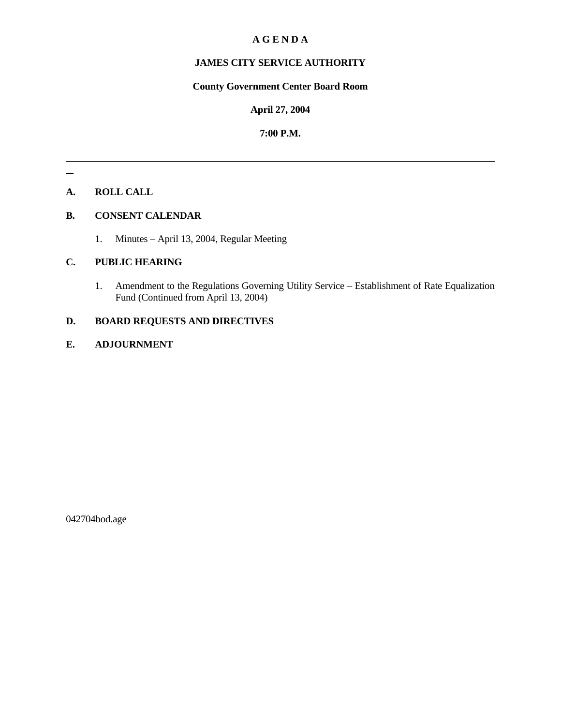# **A G E N D A**

# **JAMES CITY SERVICE AUTHORITY**

# **County Government Center Board Room**

#### **April 27, 2004**

### **7:00 P.M.**

# **A. ROLL CALL**

#### **B. CONSENT CALENDAR**

1. Minutes – April 13, 2004, Regular Meeting

# **C. PUBLIC HEARING**

1. Amendment to the Regulations Governing Utility Service – Establishment of Rate Equalization Fund (Continued from April 13, 2004)

# **D. BOARD REQUESTS AND DIRECTIVES**

# **E. ADJOURNMENT**

042704bod.age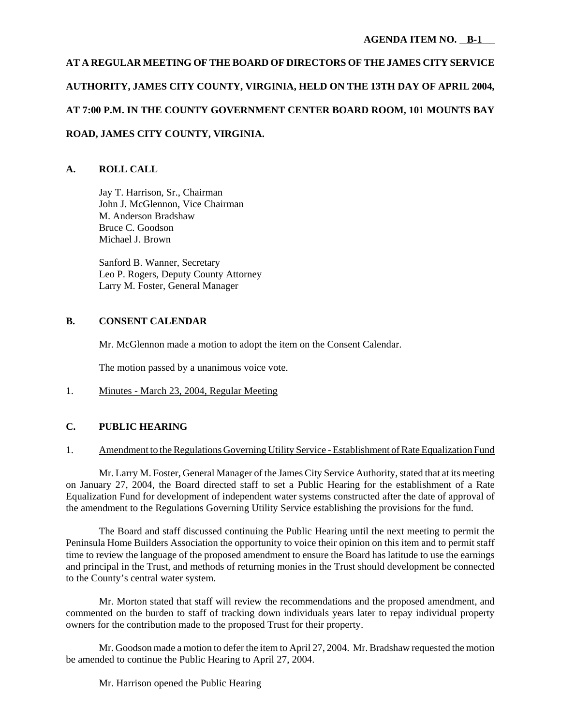# **AT A REGULAR MEETING OF THE BOARD OF DIRECTORS OF THE JAMES CITY SERVICE AUTHORITY, JAMES CITY COUNTY, VIRGINIA, HELD ON THE 13TH DAY OF APRIL 2004, AT 7:00 P.M. IN THE COUNTY GOVERNMENT CENTER BOARD ROOM, 101 MOUNTS BAY ROAD, JAMES CITY COUNTY, VIRGINIA.**

### **A. ROLL CALL**

Jay T. Harrison, Sr., Chairman John J. McGlennon, Vice Chairman M. Anderson Bradshaw Bruce C. Goodson Michael J. Brown

Sanford B. Wanner, Secretary Leo P. Rogers, Deputy County Attorney Larry M. Foster, General Manager

#### **B. CONSENT CALENDAR**

Mr. McGlennon made a motion to adopt the item on the Consent Calendar.

The motion passed by a unanimous voice vote.

1. Minutes - March 23, 2004, Regular Meeting

#### **C. PUBLIC HEARING**

#### 1. Amendment to the Regulations Governing Utility Service - Establishment of Rate Equalization Fund

Mr. Larry M. Foster, General Manager of the James City Service Authority, stated that at its meeting on January 27, 2004, the Board directed staff to set a Public Hearing for the establishment of a Rate Equalization Fund for development of independent water systems constructed after the date of approval of the amendment to the Regulations Governing Utility Service establishing the provisions for the fund.

The Board and staff discussed continuing the Public Hearing until the next meeting to permit the Peninsula Home Builders Association the opportunity to voice their opinion on this item and to permit staff time to review the language of the proposed amendment to ensure the Board has latitude to use the earnings and principal in the Trust, and methods of returning monies in the Trust should development be connected to the County's central water system.

Mr. Morton stated that staff will review the recommendations and the proposed amendment, and commented on the burden to staff of tracking down individuals years later to repay individual property owners for the contribution made to the proposed Trust for their property.

Mr. Goodson made a motion to defer the item to April 27, 2004. Mr. Bradshaw requested the motion be amended to continue the Public Hearing to April 27, 2004.

Mr. Harrison opened the Public Hearing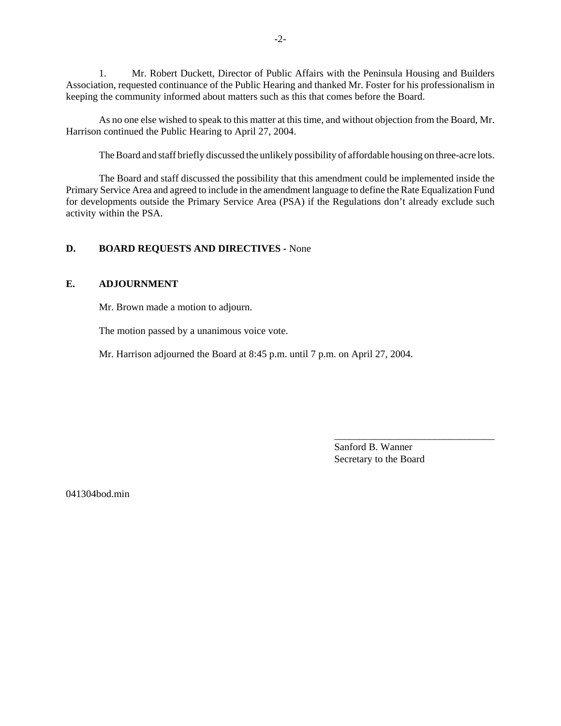1. Mr. Robert Duckett, Director of Public Affairs with the Peninsula Housing and Builders Association, requested continuance of the Public Hearing and thanked Mr. Foster for his professionalism in keeping the community informed about matters such as this that comes before the Board.

As no one else wished to speak to this matter at this time, and without objection from the Board, Mr. Harrison continued the Public Hearing to April 27, 2004.

The Board and staff briefly discussed the unlikely possibility of affordable housing on three-acre lots.

The Board and staff discussed the possibility that this amendment could be implemented inside the Primary Service Area and agreed to include in the amendment language to define the Rate Equalization Fund for developments outside the Primary Service Area (PSA) if the Regulations don't already exclude such activity within the PSA.

#### **D. BOARD REQUESTS AND DIRECTIVES -** None

#### **E. ADJOURNMENT**

Mr. Brown made a motion to adjourn.

The motion passed by a unanimous voice vote.

Mr. Harrison adjourned the Board at 8:45 p.m. until 7 p.m. on April 27, 2004.

Sanford B. Wanner Secretary to the Board

\_\_\_\_\_\_\_\_\_\_\_\_\_\_\_\_\_\_\_\_\_\_\_\_\_\_\_\_\_\_\_\_

041304bod.min